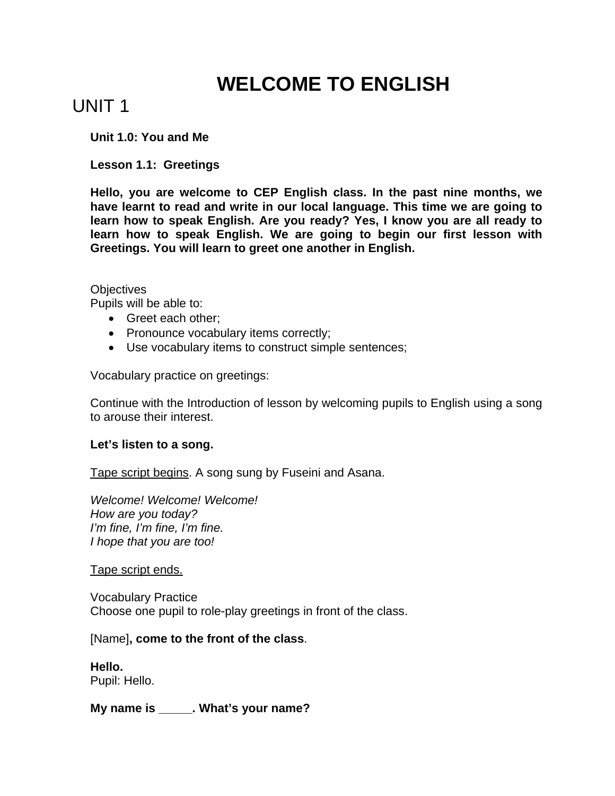# **WELCOME TO ENGLISH**

# UNIT 1

**Unit 1.0: You and Me** 

**Lesson 1.1: Greetings** 

**Hello, you are welcome to CEP English class. In the past nine months, we have learnt to read and write in our local language. This time we are going to learn how to speak English. Are you ready? Yes, I know you are all ready to learn how to speak English. We are going to begin our first lesson with Greetings. You will learn to greet one another in English.** 

# **Objectives**

Pupils will be able to:

- Greet each other;
- Pronounce vocabulary items correctly;
- Use vocabulary items to construct simple sentences;

Vocabulary practice on greetings:

Continue with the Introduction of lesson by welcoming pupils to English using a song to arouse their interest.

# **Let's listen to a song.**

Tape script begins. A song sung by Fuseini and Asana.

*Welcome! Welcome! Welcome! How are you today? I'm fine, I'm fine, I'm fine. I hope that you are too!* 

Tape script ends.

Vocabulary Practice Choose one pupil to role-play greetings in front of the class.

# [Name]**, come to the front of the class**.

**Hello.**  Pupil: Hello.

**My name is \_\_\_\_\_. What's your name?**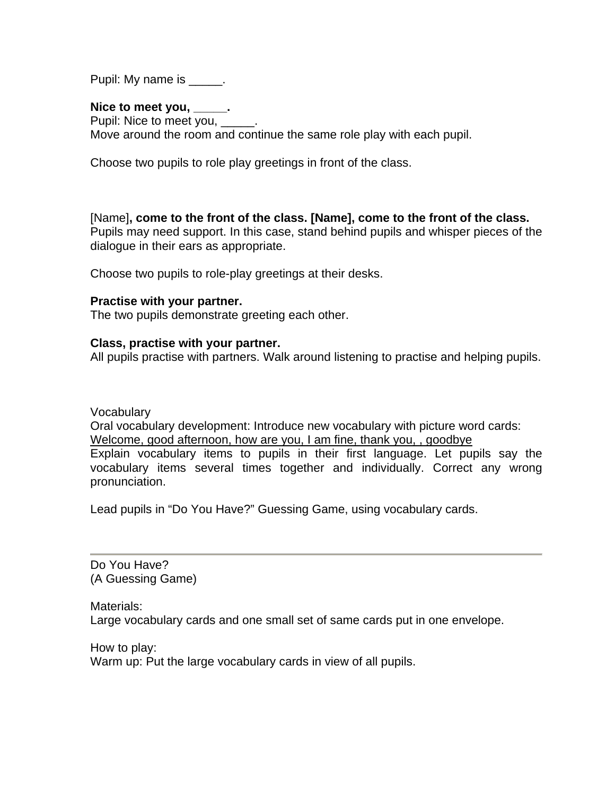Pupil: My name is \_\_\_\_\_.

#### **Nice to meet you, \_\_\_\_\_.**

Pupil: Nice to meet you, \_\_\_ Move around the room and continue the same role play with each pupil.

Choose two pupils to role play greetings in front of the class.

[Name]**, come to the front of the class. [Name], come to the front of the class.** Pupils may need support. In this case, stand behind pupils and whisper pieces of the dialogue in their ears as appropriate.

Choose two pupils to role-play greetings at their desks.

#### **Practise with your partner.**

The two pupils demonstrate greeting each other.

#### **Class, practise with your partner.**

All pupils practise with partners. Walk around listening to practise and helping pupils.

Vocabulary

Oral vocabulary development: Introduce new vocabulary with picture word cards: Welcome, good afternoon, how are you, I am fine, thank you, , goodbye Explain vocabulary items to pupils in their first language. Let pupils say the vocabulary items several times together and individually. Correct any wrong pronunciation.

Lead pupils in "Do You Have?" Guessing Game, using vocabulary cards.

Do You Have? (A Guessing Game)

Materials: Large vocabulary cards and one small set of same cards put in one envelope.

How to play: Warm up: Put the large vocabulary cards in view of all pupils.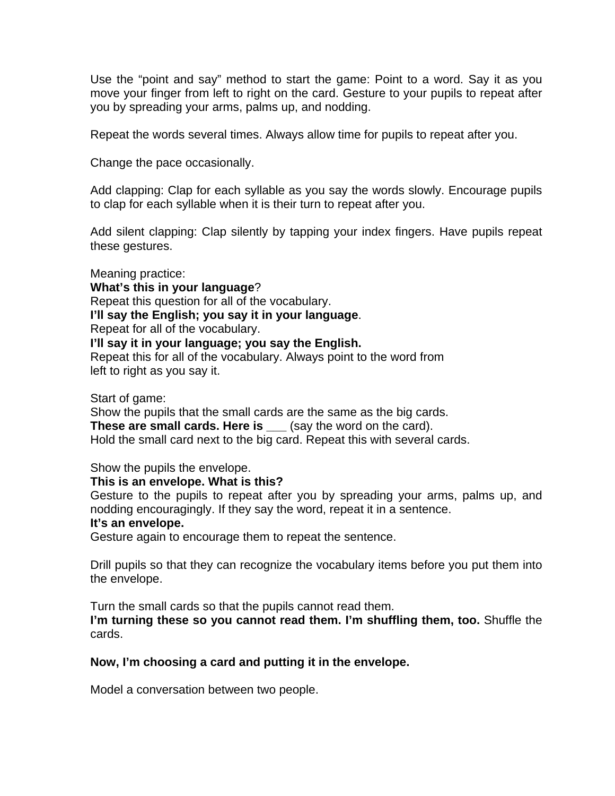Use the "point and say" method to start the game: Point to a word. Say it as you move your finger from left to right on the card. Gesture to your pupils to repeat after you by spreading your arms, palms up, and nodding.

Repeat the words several times. Always allow time for pupils to repeat after you.

Change the pace occasionally.

Add clapping: Clap for each syllable as you say the words slowly. Encourage pupils to clap for each syllable when it is their turn to repeat after you.

Add silent clapping: Clap silently by tapping your index fingers. Have pupils repeat these gestures.

Meaning practice: **What's this in your language**? Repeat this question for all of the vocabulary. **I'll say the English; you say it in your language**. Repeat for all of the vocabulary. **I'll say it in your language; you say the English.** Repeat this for all of the vocabulary. Always point to the word from left to right as you say it.

Start of game:

Show the pupils that the small cards are the same as the big cards. **These are small cards. Here is** (say the word on the card). Hold the small card next to the big card. Repeat this with several cards.

Show the pupils the envelope.

# **This is an envelope. What is this?**

Gesture to the pupils to repeat after you by spreading your arms, palms up, and nodding encouragingly. If they say the word, repeat it in a sentence.

#### **It's an envelope.**

Gesture again to encourage them to repeat the sentence.

Drill pupils so that they can recognize the vocabulary items before you put them into the envelope.

Turn the small cards so that the pupils cannot read them. **I'm turning these so you cannot read them. I'm shuffling them, too.** Shuffle the cards.

# **Now, I'm choosing a card and putting it in the envelope.**

Model a conversation between two people.